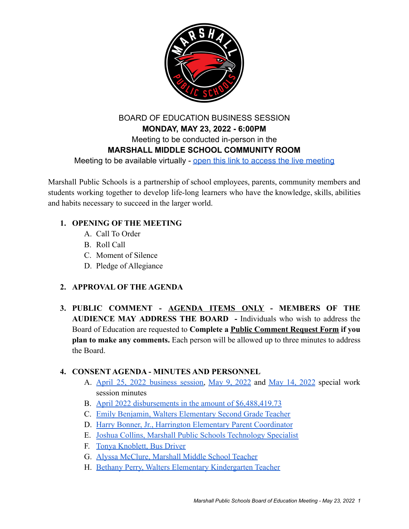

# BOARD OF EDUCATION BUSINESS SESSION **MONDAY, MAY 23, 2022 - 6:00PM** Meeting to be conducted in-person in the **MARSHALL MIDDLE SCHOOL COMMUNITY ROOM** Meeting to be available virtually - open this link [to access the live meeting](https://www.youtube.com/channel/UCo_Dw2K8ptX5eFKauouPJZQ)

Marshall Public Schools is a partnership of school employees, parents, community members and students working together to develop life-long learners who have the knowledge, skills, abilities and habits necessary to succeed in the larger world.

## **1. OPENING OF THE MEETING**

- A. Call To Order
- B. Roll Call
- C. Moment of Silence
- D. Pledge of Allegiance

## **2. APPROVAL OF THE AGENDA**

**3. PUBLIC COMMENT - AGENDA ITEMS ONLY - MEMBERS OF THE AUDIENCE MAY ADDRESS THE BOARD -** Individuals who wish to address the Board of Education are requested to **Complete a Public Comment Request Form if you plan to make any comments.** Each person will be allowed up to three minutes to address the Board.

#### **4. CONSENT AGENDA - MINUTES AND PERSONNEL**

- A. April 25, 2022 [business](https://drive.google.com/file/d/1s4bPMNe2y5B1geUeDBmuUAgsyNKlUaNV/view?usp=sharing) session, May 9, [2022](https://drive.google.com/file/d/1TyDlBL4N324jZTsSXsX32BsWJ3gnyq_J/view?usp=sharing) and May 14, [2022](https://drive.google.com/file/d/1hRpIjuSgdUCriBng6Z-V-3Cz0rhdnvT4/view?usp=sharing) special work session minutes
- B. [April 2022 disbursements in the amount of \\$6,488,419.73](https://drive.google.com/file/d/19mOeQY2ZjIoGPg80-Dza8PIsCyyMrnBl/view?usp=sharing)
- C. [Emily Benjamin, Walters Elementary Second Grade Teacher](https://drive.google.com/file/d/1eN-0g2aePWFIFHFDs7UCJ5WTc4vFtSWu/view?usp=sharing)
- D. [Harry Bonner, Jr., Harrington Elementary Parent Coordinator](https://drive.google.com/file/d/1equ8HQlTC6KDSmqAM7TGFz1cffDNn_Gg/view?usp=sharing)
- E. [Joshua Collins, Marshall Public Schools Technology Specialist](https://drive.google.com/file/d/1vih1_FRxTURFlvMJRoSWJrZrU-ZfIVd6/view?usp=sharing)
- F. [Tonya Knoblett, Bus Driver](https://drive.google.com/file/d/1S_DoyRbLydDdHfKyYZc7JXaCeG5-q5v0/view?usp=sharing)
- G. [Alyssa McClure, Marshall Middle School Teacher](https://drive.google.com/file/d/1fPzs4ZHxwp4UAIFtyOTEcJU0FmbI_fJK/view?usp=sharing)
- H. [Bethany Perry, Walters Elementary Kindergarten Teacher](https://drive.google.com/file/d/10nEe6X5NodrsGFfZrj4T-hZ--3SlODW-/view?usp=sharing)